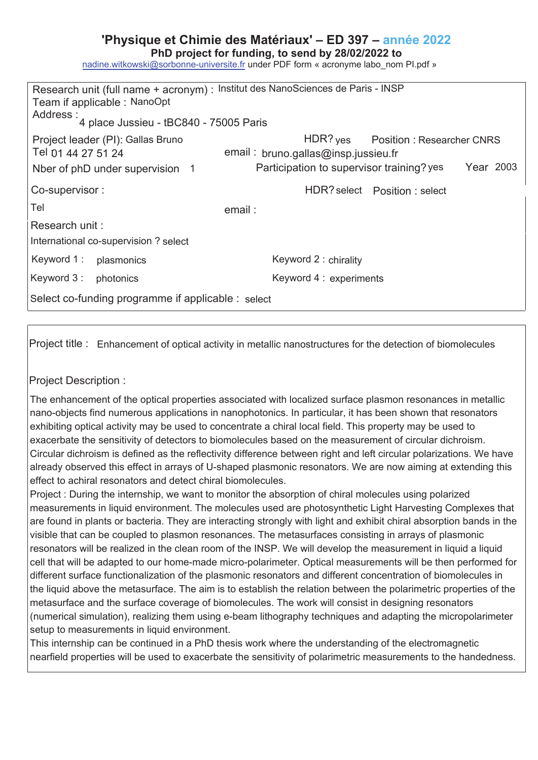## **'Physique et Chimie des Matériaux' – ED 397 – année 202**

PhD project for funding, to send by 28/02/2022 to

nadine.witkowski@sorbonne-universite.fr under PDF form « acronyme labo\_nom Pl.pdf »

| Research unit (full name + acronym) : Institut des NanoSciences de Paris - INSP<br>Team if applicable: NanoOpt<br>Address : 4 place Jussieu - tBC840 - 75005 Paris |                                                               |
|--------------------------------------------------------------------------------------------------------------------------------------------------------------------|---------------------------------------------------------------|
| Project leader (PI): Gallas Bruno<br>Tel 01 44 27 51 24                                                                                                            | HDR? yes Position : Researcher CNRS                           |
|                                                                                                                                                                    | email: bruno.gallas@insp.jussieu.fr                           |
| Nber of phD under supervision 1                                                                                                                                    | Participation to supervisor training? yes<br><b>Year 2003</b> |
| Co-supervisor:                                                                                                                                                     | HDR? select Position: select                                  |
| Tel                                                                                                                                                                | email:                                                        |
| Research unit:                                                                                                                                                     |                                                               |
| International co-supervision? select                                                                                                                               |                                                               |
| Keyword 1 :<br>plasmonics                                                                                                                                          | Keyword 2 : chirality                                         |
| Keyword 3 :<br>photonics                                                                                                                                           | Keyword 4 : experiments                                       |
| Select co-funding programme if applicable : select                                                                                                                 |                                                               |

Project title : Enhancement of optical activity in metallic nanostructures for the detection of biomolecules

Project Description :

The enhancement of the optical properties associated with localized surface plasmon resonances in metallic nano-objects find numerous applications in nanophotonics. In particular, it has been shown that resonators exhibiting optical activity may be used to concentrate a chiral local field. This property may be used to exacerbate the sensitivity of detectors to biomolecules based on the measurement of circular dichroism. Circular dichroism is defined as the reflectivity difference between right and left circular polarizations. We have already observed this effect in arrays of U-shaped plasmonic resonators. We are now aiming at extending this effect to achiral resonators and detect chiral biomolecules.

Project : During the internship, we want to monitor the absorption of chiral molecules using polarized measurements in liquid environment. The molecules used are photosynthetic Light Harvesting Complexes that are found in plants or bacteria. They are interacting strongly with light and exhibit chiral absorption bands in the visible that can be coupled to plasmon resonances. The metasurfaces consisting in arrays of plasmonic resonators will be realized in the clean room of the INSP. We will develop the measurement in liquid a liquid cell that will be adapted to our home-made micro-polarimeter. Optical measurements will be then performed for different surface functionalization of the plasmonic resonators and different concentration of biomolecules in the liquid above the metasurface. The aim is to establish the relation between the polarimetric properties of the metasurface and the surface coverage of biomolecules. The work will consist in designing resonators (numerical simulation), realizing them using e-beam lithography techniques and adapting the micropolarimeter setup to measurements in liquid environment.

This internship can be continued in a PhD thesis work where the understanding of the electromagnetic nearfield properties will be used to exacerbate the sensitivity of polarimetric measurements to the handedness.